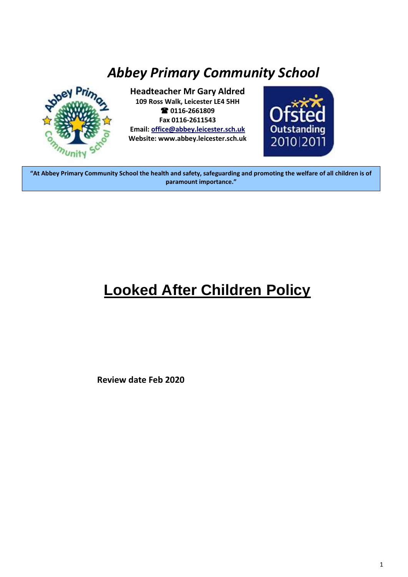# *Abbey Primary Community School*



 $\overline{a}$ 

**Headteacher Mr Gary Aldred 109 Ross Walk, Leicester LE4 5HH 0116-2661809 Fax 0116-2611543 Email: [office@abbey.leicester.sch.uk](mailto:office@abbey.leicester.sch.uk) Website: www.abbey.leicester.sch.uk**



**"At Abbey Primary Community School the health and safety, safeguarding and promoting the welfare of all children is of paramount importance."**

# **Looked After Children Policy**

**Review date Feb 2020**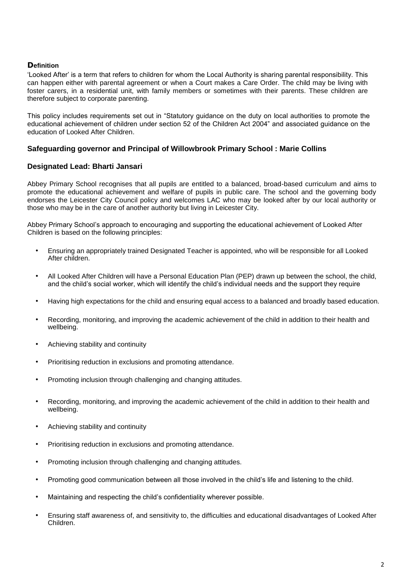# **Definition**

'Looked After' is a term that refers to children for whom the Local Authority is sharing parental responsibility. This can happen either with parental agreement or when a Court makes a Care Order. The child may be living with foster carers, in a residential unit, with family members or sometimes with their parents. These children are therefore subject to corporate parenting.

This policy includes requirements set out in "Statutory guidance on the duty on local authorities to promote the educational achievement of children under section 52 of the Children Act 2004" and associated guidance on the education of Looked After Children.

# **Safeguarding governor and Principal of Willowbrook Primary School : Marie Collins**

# **Designated Lead: Bharti Jansari**

Abbey Primary School recognises that all pupils are entitled to a balanced, broad-based curriculum and aims to promote the educational achievement and welfare of pupils in public care. The school and the governing body endorses the Leicester City Council policy and welcomes LAC who may be looked after by our local authority or those who may be in the care of another authority but living in Leicester City.

Abbey Primary School's approach to encouraging and supporting the educational achievement of Looked After Children is based on the following principles:

- Ensuring an appropriately trained Designated Teacher is appointed, who will be responsible for all Looked After children.
- All Looked After Children will have a Personal Education Plan (PEP) drawn up between the school, the child, and the child's social worker, which will identify the child's individual needs and the support they require
- Having high expectations for the child and ensuring equal access to a balanced and broadly based education.
- Recording, monitoring, and improving the academic achievement of the child in addition to their health and wellbeing.
- Achieving stability and continuity
- Prioritising reduction in exclusions and promoting attendance.
- Promoting inclusion through challenging and changing attitudes.
- Recording, monitoring, and improving the academic achievement of the child in addition to their health and wellbeing.
- Achieving stability and continuity
- Prioritising reduction in exclusions and promoting attendance.
- Promoting inclusion through challenging and changing attitudes.
- Promoting good communication between all those involved in the child's life and listening to the child.
- Maintaining and respecting the child's confidentiality wherever possible.
- Ensuring staff awareness of, and sensitivity to, the difficulties and educational disadvantages of Looked After Children.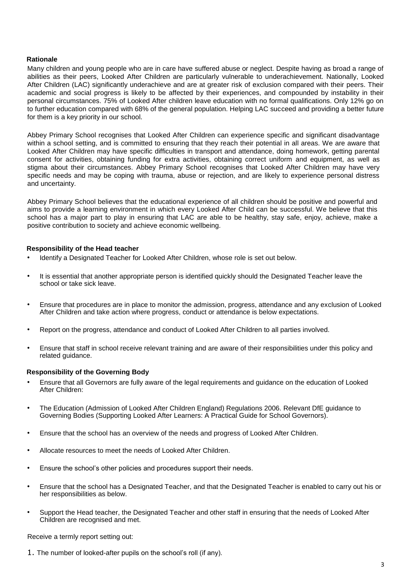# **Rationale**

Many children and young people who are in care have suffered abuse or neglect. Despite having as broad a range of abilities as their peers, Looked After Children are particularly vulnerable to underachievement. Nationally, Looked After Children (LAC) significantly underachieve and are at greater risk of exclusion compared with their peers. Their academic and social progress is likely to be affected by their experiences, and compounded by instability in their personal circumstances. 75% of Looked After children leave education with no formal qualifications. Only 12% go on to further education compared with 68% of the general population. Helping LAC succeed and providing a better future for them is a key priority in our school.

Abbey Primary School recognises that Looked After Children can experience specific and significant disadvantage within a school setting, and is committed to ensuring that they reach their potential in all areas. We are aware that Looked After Children may have specific difficulties in transport and attendance, doing homework, getting parental consent for activities, obtaining funding for extra activities, obtaining correct uniform and equipment, as well as stigma about their circumstances. Abbey Primary School recognises that Looked After Children may have very specific needs and may be coping with trauma, abuse or rejection, and are likely to experience personal distress and uncertainty.

Abbey Primary School believes that the educational experience of all children should be positive and powerful and aims to provide a learning environment in which every Looked After Child can be successful. We believe that this school has a major part to play in ensuring that LAC are able to be healthy, stay safe, enjoy, achieve, make a positive contribution to society and achieve economic wellbeing.

#### **Responsibility of the Head teacher**

- Identify a Designated Teacher for Looked After Children, whose role is set out below.
- It is essential that another appropriate person is identified quickly should the Designated Teacher leave the school or take sick leave.
- Ensure that procedures are in place to monitor the admission, progress, attendance and any exclusion of Looked After Children and take action where progress, conduct or attendance is below expectations.
- Report on the progress, attendance and conduct of Looked After Children to all parties involved.
- Ensure that staff in school receive relevant training and are aware of their responsibilities under this policy and related guidance.

#### **Responsibility of the Governing Body**

- Ensure that all Governors are fully aware of the legal requirements and guidance on the education of Looked After Children:
- The Education (Admission of Looked After Children England) Regulations 2006. Relevant DfE guidance to Governing Bodies (Supporting Looked After Learners: A Practical Guide for School Governors).
- Ensure that the school has an overview of the needs and progress of Looked After Children.
- Allocate resources to meet the needs of Looked After Children.
- Ensure the school's other policies and procedures support their needs.
- Ensure that the school has a Designated Teacher, and that the Designated Teacher is enabled to carry out his or her responsibilities as below.
- Support the Head teacher, the Designated Teacher and other staff in ensuring that the needs of Looked After Children are recognised and met.

Receive a termly report setting out:

1. The number of looked-after pupils on the school's roll (if any).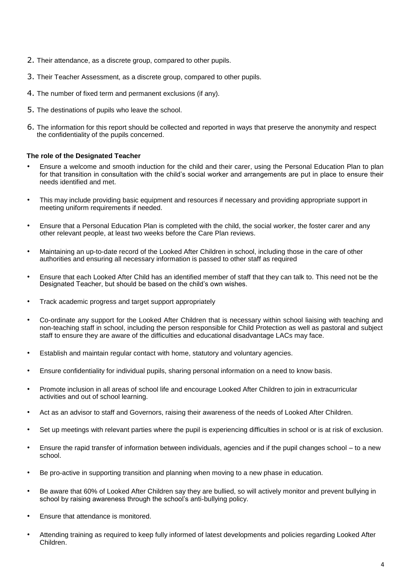- 2. Their attendance, as a discrete group, compared to other pupils.
- 3. Their Teacher Assessment, as a discrete group, compared to other pupils.
- 4. The number of fixed term and permanent exclusions (if any).
- 5. The destinations of pupils who leave the school.
- 6. The information for this report should be collected and reported in ways that preserve the anonymity and respect the confidentiality of the pupils concerned.

#### **The role of the Designated Teacher**

- Ensure a welcome and smooth induction for the child and their carer, using the Personal Education Plan to plan for that transition in consultation with the child's social worker and arrangements are put in place to ensure their needs identified and met.
- This may include providing basic equipment and resources if necessary and providing appropriate support in meeting uniform requirements if needed.
- Ensure that a Personal Education Plan is completed with the child, the social worker, the foster carer and any other relevant people, at least two weeks before the Care Plan reviews.
- Maintaining an up-to-date record of the Looked After Children in school, including those in the care of other authorities and ensuring all necessary information is passed to other staff as required
- Ensure that each Looked After Child has an identified member of staff that they can talk to. This need not be the Designated Teacher, but should be based on the child's own wishes.
- Track academic progress and target support appropriately
- Co-ordinate any support for the Looked After Children that is necessary within school liaising with teaching and non-teaching staff in school, including the person responsible for Child Protection as well as pastoral and subject staff to ensure they are aware of the difficulties and educational disadvantage LACs may face.
- Establish and maintain regular contact with home, statutory and voluntary agencies.
- Ensure confidentiality for individual pupils, sharing personal information on a need to know basis.
- Promote inclusion in all areas of school life and encourage Looked After Children to join in extracurricular activities and out of school learning.
- Act as an advisor to staff and Governors, raising their awareness of the needs of Looked After Children.
- Set up meetings with relevant parties where the pupil is experiencing difficulties in school or is at risk of exclusion.
- Ensure the rapid transfer of information between individuals, agencies and if the pupil changes school to a new school.
- Be pro-active in supporting transition and planning when moving to a new phase in education.
- Be aware that 60% of Looked After Children say they are bullied, so will actively monitor and prevent bullying in school by raising awareness through the school's anti-bullying policy.
- Ensure that attendance is monitored.
- Attending training as required to keep fully informed of latest developments and policies regarding Looked After Children.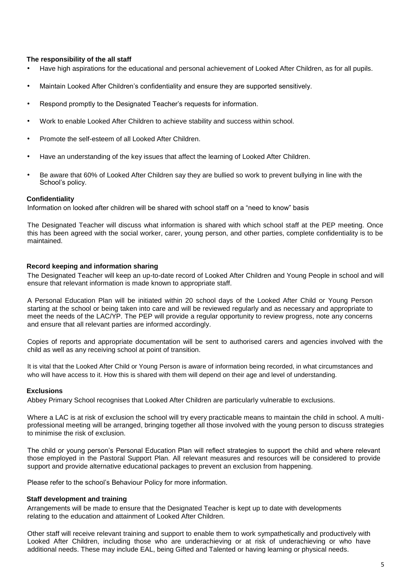#### **The responsibility of the all staff**

- Have high aspirations for the educational and personal achievement of Looked After Children, as for all pupils.
- Maintain Looked After Children's confidentiality and ensure they are supported sensitively.
- Respond promptly to the Designated Teacher's requests for information.
- Work to enable Looked After Children to achieve stability and success within school.
- Promote the self-esteem of all Looked After Children.
- Have an understanding of the key issues that affect the learning of Looked After Children.
- Be aware that 60% of Looked After Children say they are bullied so work to prevent bullying in line with the School's policy.

#### **Confidentiality**

Information on looked after children will be shared with school staff on a "need to know" basis

The Designated Teacher will discuss what information is shared with which school staff at the PEP meeting. Once this has been agreed with the social worker, carer, young person, and other parties, complete confidentiality is to be maintained.

#### **Record keeping and information sharing**

The Designated Teacher will keep an up-to-date record of Looked After Children and Young People in school and will ensure that relevant information is made known to appropriate staff.

A Personal Education Plan will be initiated within 20 school days of the Looked After Child or Young Person starting at the school or being taken into care and will be reviewed regularly and as necessary and appropriate to meet the needs of the LAC/YP. The PEP will provide a regular opportunity to review progress, note any concerns and ensure that all relevant parties are informed accordingly.

Copies of reports and appropriate documentation will be sent to authorised carers and agencies involved with the child as well as any receiving school at point of transition.

It is vital that the Looked After Child or Young Person is aware of information being recorded, in what circumstances and who will have access to it. How this is shared with them will depend on their age and level of understanding.

# **Exclusions**

Abbey Primary School recognises that Looked After Children are particularly vulnerable to exclusions.

Where a LAC is at risk of exclusion the school will try every practicable means to maintain the child in school. A multiprofessional meeting will be arranged, bringing together all those involved with the young person to discuss strategies to minimise the risk of exclusion.

The child or young person's Personal Education Plan will reflect strategies to support the child and where relevant those employed in the Pastoral Support Plan. All relevant measures and resources will be considered to provide support and provide alternative educational packages to prevent an exclusion from happening.

Please refer to the school's Behaviour Policy for more information.

#### **Staff development and training**

Arrangements will be made to ensure that the Designated Teacher is kept up to date with developments relating to the education and attainment of Looked After Children.

Other staff will receive relevant training and support to enable them to work sympathetically and productively with Looked After Children, including those who are underachieving or at risk of underachieving or who have additional needs. These may include EAL, being Gifted and Talented or having learning or physical needs.